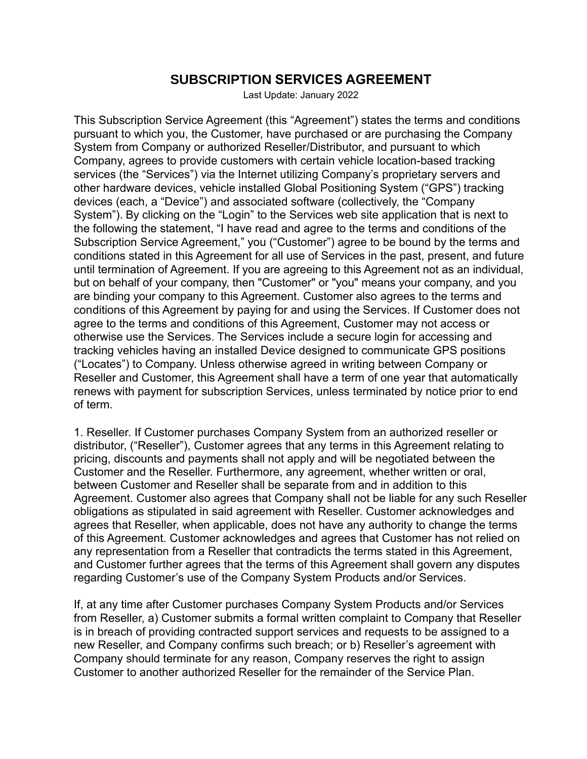## **SUBSCRIPTION SERVICES AGREEMENT**

Last Update: January 2022

This Subscription Service Agreement (this "Agreement") states the terms and conditions pursuant to which you, the Customer, have purchased or are purchasing the Company System from Company or authorized Reseller/Distributor, and pursuant to which Company, agrees to provide customers with certain vehicle location-based tracking services (the "Services") via the Internet utilizing Company's proprietary servers and other hardware devices, vehicle installed Global Positioning System ("GPS") tracking devices (each, a "Device") and associated software (collectively, the "Company System"). By clicking on the "Login" to the Services web site application that is next to the following the statement, "I have read and agree to the terms and conditions of the Subscription Service Agreement," you ("Customer") agree to be bound by the terms and conditions stated in this Agreement for all use of Services in the past, present, and future until termination of Agreement. If you are agreeing to this Agreement not as an individual, but on behalf of your company, then "Customer" or "you" means your company, and you are binding your company to this Agreement. Customer also agrees to the terms and conditions of this Agreement by paying for and using the Services. If Customer does not agree to the terms and conditions of this Agreement, Customer may not access or otherwise use the Services. The Services include a secure login for accessing and tracking vehicles having an installed Device designed to communicate GPS positions ("Locates") to Company. Unless otherwise agreed in writing between Company or Reseller and Customer, this Agreement shall have a term of one year that automatically renews with payment for subscription Services, unless terminated by notice prior to end of term.

1. Reseller. If Customer purchases Company System from an authorized reseller or distributor, ("Reseller"), Customer agrees that any terms in this Agreement relating to pricing, discounts and payments shall not apply and will be negotiated between the Customer and the Reseller. Furthermore, any agreement, whether written or oral, between Customer and Reseller shall be separate from and in addition to this Agreement. Customer also agrees that Company shall not be liable for any such Reseller obligations as stipulated in said agreement with Reseller. Customer acknowledges and agrees that Reseller, when applicable, does not have any authority to change the terms of this Agreement. Customer acknowledges and agrees that Customer has not relied on any representation from a Reseller that contradicts the terms stated in this Agreement, and Customer further agrees that the terms of this Agreement shall govern any disputes regarding Customer's use of the Company System Products and/or Services.

If, at any time after Customer purchases Company System Products and/or Services from Reseller, a) Customer submits a formal written complaint to Company that Reseller is in breach of providing contracted support services and requests to be assigned to a new Reseller, and Company confirms such breach; or b) Reseller's agreement with Company should terminate for any reason, Company reserves the right to assign Customer to another authorized Reseller for the remainder of the Service Plan.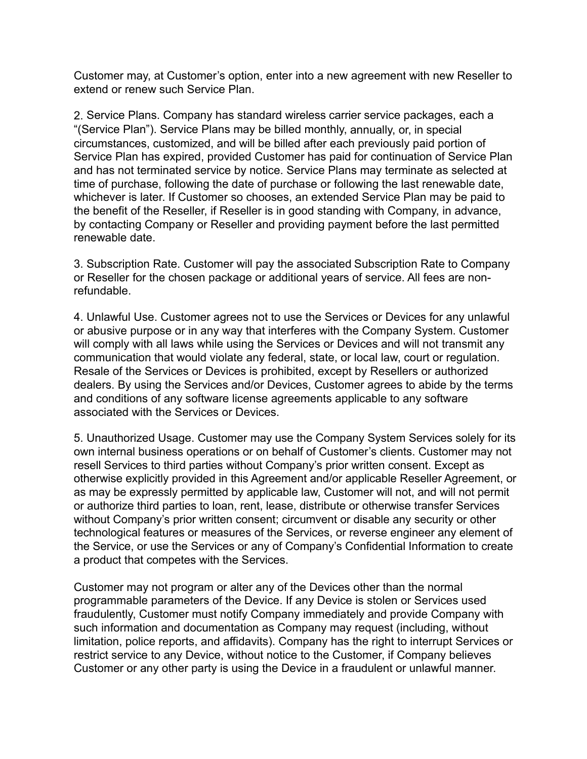Customer may, at Customer's option, enter into a new agreement with new Reseller to extend or renew such Service Plan.

2. Service Plans. Company has standard wireless carrier service packages, each a "(Service Plan"). Service Plans may be billed monthly, annually, or, in special circumstances, customized, and will be billed after each previously paid portion of Service Plan has expired, provided Customer has paid for continuation of Service Plan and has not terminated service by notice. Service Plans may terminate as selected at time of purchase, following the date of purchase or following the last renewable date, whichever is later. If Customer so chooses, an extended Service Plan may be paid to the benefit of the Reseller, if Reseller is in good standing with Company, in advance, by contacting Company or Reseller and providing payment before the last permitted renewable date.

3. Subscription Rate. Customer will pay the associated Subscription Rate to Company or Reseller for the chosen package or additional years of service. All fees are nonrefundable.

4. Unlawful Use. Customer agrees not to use the Services or Devices for any unlawful or abusive purpose or in any way that interferes with the Company System. Customer will comply with all laws while using the Services or Devices and will not transmit any communication that would violate any federal, state, or local law, court or regulation. Resale of the Services or Devices is prohibited, except by Resellers or authorized dealers. By using the Services and/or Devices, Customer agrees to abide by the terms and conditions of any software license agreements applicable to any software associated with the Services or Devices.

5. Unauthorized Usage. Customer may use the Company System Services solely for its own internal business operations or on behalf of Customer's clients. Customer may not resell Services to third parties without Company's prior written consent. Except as otherwise explicitly provided in this Agreement and/or applicable Reseller Agreement, or as may be expressly permitted by applicable law, Customer will not, and will not permit or authorize third parties to loan, rent, lease, distribute or otherwise transfer Services without Company's prior written consent; circumvent or disable any security or other technological features or measures of the Services, or reverse engineer any element of the Service, or use the Services or any of Company's Confidential Information to create a product that competes with the Services.

Customer may not program or alter any of the Devices other than the normal programmable parameters of the Device. If any Device is stolen or Services used fraudulently, Customer must notify Company immediately and provide Company with such information and documentation as Company may request (including, without limitation, police reports, and affidavits). Company has the right to interrupt Services or restrict service to any Device, without notice to the Customer, if Company believes Customer or any other party is using the Device in a fraudulent or unlawful manner.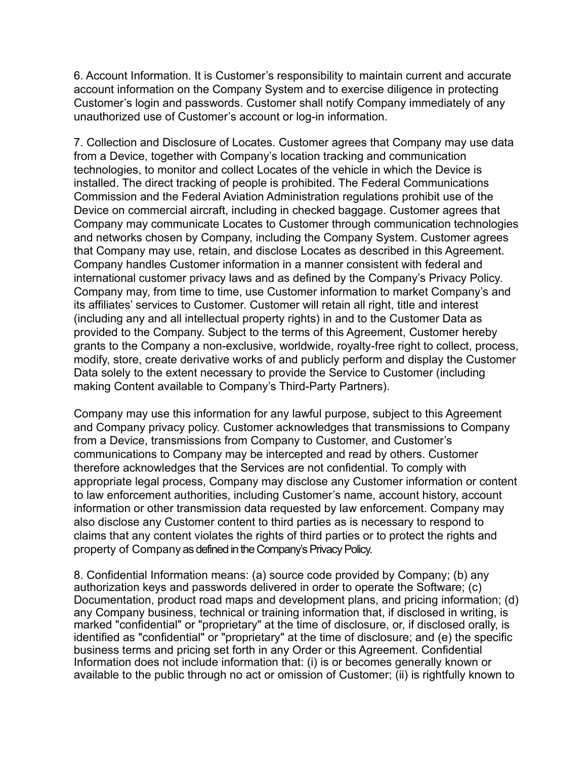6. Account Information. It is Customer's responsibility to maintain current and accurate account information on the Company System and to exercise diligence in protecting Customer's login and passwords. Customer shall notify Company immediately of any unauthorized use of Customer's account or log-in information.

7. Collection and Disclosure of Locates. Customer agrees that Company may use data from a Device, together with Company's location tracking and communication technologies, to monitor and collect Locates of the vehicle in which the Device is installed. The direct tracking of people is prohibited. The Federal Communications Commission and the Federal Aviation Administration regulations prohibit use of the Device on commercial aircraft, including in checked baggage. Customer agrees that Company may communicate Locates to Customer through communication technologies and networks chosen by Company, including the Company System. Customer agrees that Company may use, retain, and disclose Locates as described in this Agreement. Company handles Customer information in a manner consistent with federal and international customer privacy laws and as defined by the Company's Privacy Policy. Company may, from time to time, use Customer information to market Company's and its affiliates' services to Customer. Customer will retain all right, title and interest (including any and all intellectual property rights) in and to the Customer Data as provided to the Company. Subject to the terms of this Agreement, Customer hereby grants to the Company a non-exclusive, worldwide, royalty-free right to collect, process, modify, store, create derivative works of and publicly perform and display the Customer Data solely to the extent necessary to provide the Service to Customer (including making Content available to Company's Third-Party Partners).

Company may use this information for any lawful purpose, subject to this Agreement and Company privacy policy. Customer acknowledges that transmissions to Company from a Device, transmissions from Company to Customer, and Customer's communications to Company may be intercepted and read by others. Customer therefore acknowledges that the Services are not confidential. To comply with appropriate legal process, Company may disclose any Customer information or content to law enforcement authorities, including Customer's name, account history, account information or other transmission data requested by law enforcement. Company may also disclose any Customer content to third parties as is necessary to respond to claims that any content violates the rights of third parties or to protect the rights and property of Company as defined in the Company's Privacy Policy.

8. Confidential Information means: (a) source code provided by Company; (b) any authorization keys and passwords delivered in order to operate the Software; (c) Documentation, product road maps and development plans, and pricing information; (d) any Company business, technical or training information that, if disclosed in writing, is marked "confidential" or "proprietary" at the time of disclosure, or, if disclosed orally, is identified as "confidential" or "proprietary" at the time of disclosure; and (e) the specific business terms and pricing set forth in any Order or this Agreement. Confidential Information does not include information that: (i) is or becomes generally known or available to the public through no act or omission of Customer; (ii) is rightfully known to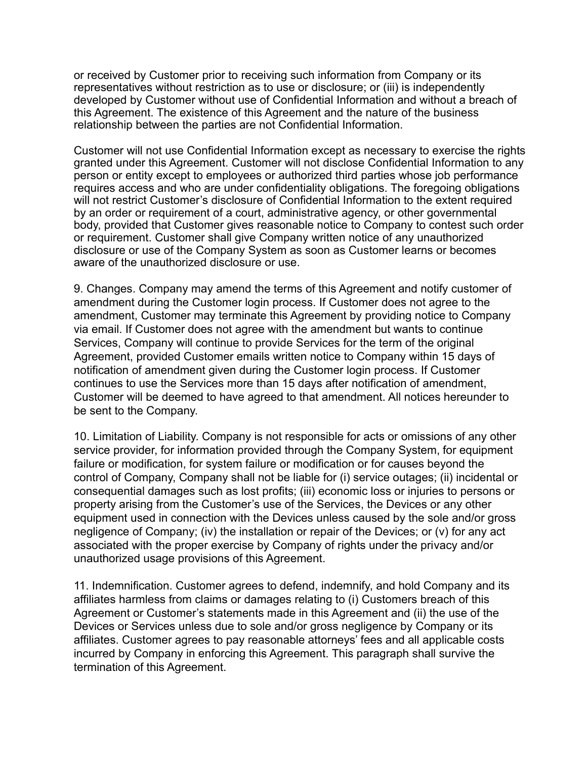or received by Customer prior to receiving such information from Company or its representatives without restriction as to use or disclosure; or (iii) is independently developed by Customer without use of Confidential Information and without a breach of this Agreement. The existence of this Agreement and the nature of the business relationship between the parties are not Confidential Information.

Customer will not use Confidential Information except as necessary to exercise the rights granted under this Agreement. Customer will not disclose Confidential Information to any person or entity except to employees or authorized third parties whose job performance requires access and who are under confidentiality obligations. The foregoing obligations will not restrict Customer's disclosure of Confidential Information to the extent required by an order or requirement of a court, administrative agency, or other governmental body, provided that Customer gives reasonable notice to Company to contest such order or requirement. Customer shall give Company written notice of any unauthorized disclosure or use of the Company System as soon as Customer learns or becomes aware of the unauthorized disclosure or use.

9. Changes. Company may amend the terms of this Agreement and notify customer of amendment during the Customer login process. If Customer does not agree to the amendment, Customer may terminate this Agreement by providing notice to Company via email. If Customer does not agree with the amendment but wants to continue Services, Company will continue to provide Services for the term of the original Agreement, provided Customer emails written notice to Company within 15 days of notification of amendment given during the Customer login process. If Customer continues to use the Services more than 15 days after notification of amendment, Customer will be deemed to have agreed to that amendment. All notices hereunder to be sent to the Company.

10. Limitation of Liability. Company is not responsible for acts or omissions of any other service provider, for information provided through the Company System, for equipment failure or modification, for system failure or modification or for causes beyond the control of Company, Company shall not be liable for (i) service outages; (ii) incidental or consequential damages such as lost profits; (iii) economic loss or injuries to persons or property arising from the Customer's use of the Services, the Devices or any other equipment used in connection with the Devices unless caused by the sole and/or gross negligence of Company; (iv) the installation or repair of the Devices; or (v) for any act associated with the proper exercise by Company of rights under the privacy and/or unauthorized usage provisions of this Agreement.

11. Indemnification. Customer agrees to defend, indemnify, and hold Company and its affiliates harmless from claims or damages relating to (i) Customers breach of this Agreement or Customer's statements made in this Agreement and (ii) the use of the Devices or Services unless due to sole and/or gross negligence by Company or its affiliates. Customer agrees to pay reasonable attorneys' fees and all applicable costs incurred by Company in enforcing this Agreement. This paragraph shall survive the termination of this Agreement.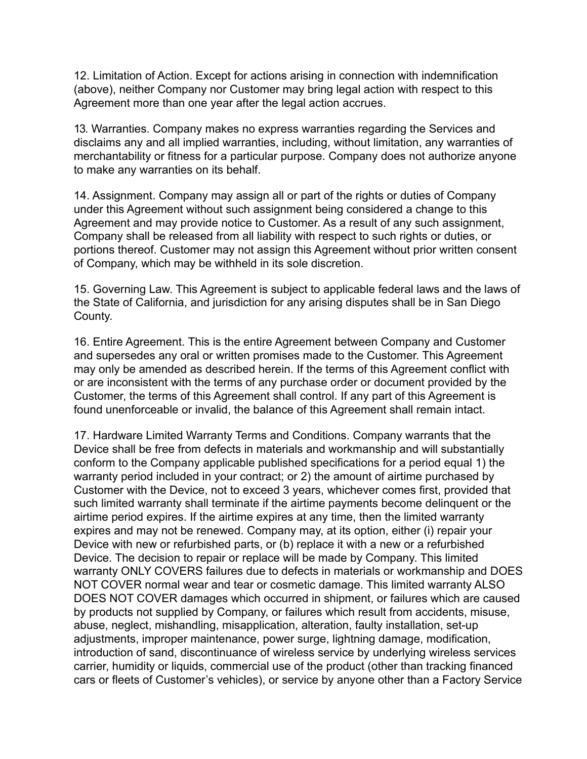12. Limitation of Action. Except for actions arising in connection with indemnification (above), neither Company nor Customer may bring legal action with respect to this Agreement more than one year after the legal action accrues.

13. Warranties. Company makes no express warranties regarding the Services and disclaims any and all implied warranties, including, without limitation, any warranties of merchantability or fitness for a particular purpose. Company does not authorize anyone to make any warranties on its behalf.

14. Assignment. Company may assign all or part of the rights or duties of Company under this Agreement without such assignment being considered a change to this Agreement and may provide notice to Customer. As a result of any such assignment, Company shall be released from all liability with respect to such rights or duties, or portions thereof. Customer may not assign this Agreement without prior written consent of Company, which may be withheld in its sole discretion.

15. Governing Law. This Agreement is subject to applicable federal laws and the laws of the State of California, and jurisdiction for any arising disputes shall be in San Diego County.

16. Entire Agreement. This is the entire Agreement between Company and Customer and supersedes any oral or written promises made to the Customer. This Agreement may only be amended as described herein. If the terms of this Agreement conflict with or are inconsistent with the terms of any purchase order or document provided by the Customer, the terms of this Agreement shall control. If any part of this Agreement is found unenforceable or invalid, the balance of this Agreement shall remain intact.

17. Hardware Limited Warranty Terms and Conditions. Company warrants that the Device shall be free from defects in materials and workmanship and will substantially conform to the Company applicable published specifications for a period equal 1) the warranty period included in your contract; or 2) the amount of airtime purchased by Customer with the Device, not to exceed 3 years, whichever comes first, provided that such limited warranty shall terminate if the airtime payments become delinquent or the airtime period expires. If the airtime expires at any time, then the limited warranty expires and may not be renewed. Company may, at its option, either (i) repair your Device with new or refurbished parts, or (b) replace it with a new or a refurbished Device. The decision to repair or replace will be made by Company. This limited warranty ONLY COVERS failures due to defects in materials or workmanship and DOES NOT COVER normal wear and tear or cosmetic damage. This limited warranty ALSO DOES NOT COVER damages which occurred in shipment, or failures which are caused by products not supplied by Company, or failures which result from accidents, misuse, abuse, neglect, mishandling, misapplication, alteration, faulty installation, set-up adjustments, improper maintenance, power surge, lightning damage, modification, introduction of sand, discontinuance of wireless service by underlying wireless services carrier, humidity or liquids, commercial use of the product (other than tracking financed cars or fleets of Customer's vehicles), or service by anyone other than a Factory Service